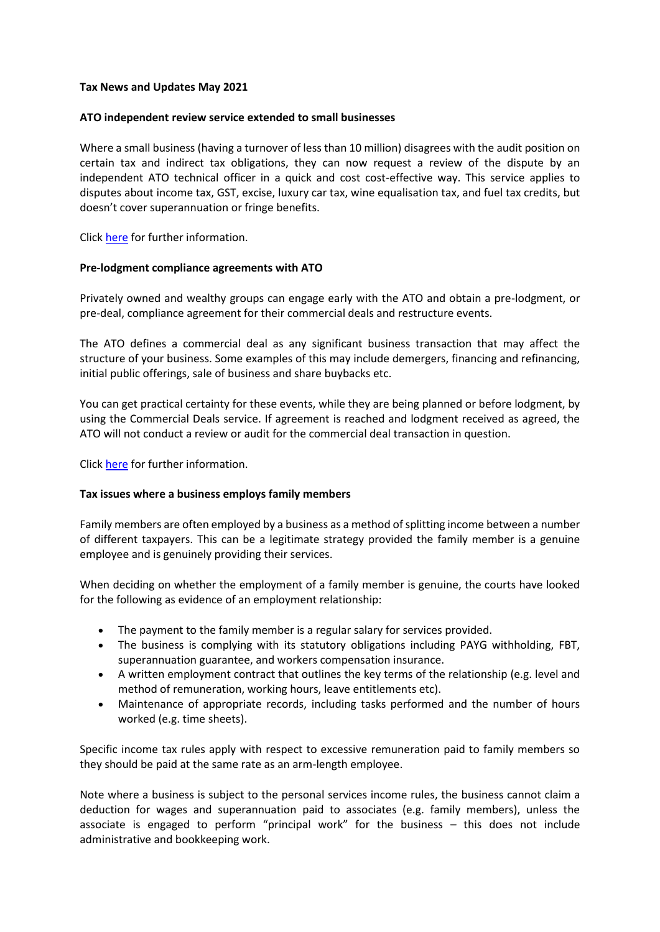### **Tax News and Updates May 2021**

### **ATO independent review service extended to small businesses**

Where a small business (having a turnover of less than 10 million) disagrees with the audit position on certain tax and indirect tax obligations, they can now request a review of the dispute by an independent ATO technical officer in a quick and cost cost-effective way. This service applies to disputes about income tax, GST, excise, luxury car tax, wine equalisation tax, and fuel tax credits, but doesn't cover superannuation or fringe benefits.

Click [here](https://www.ato.gov.au/General/Dispute-or-object-to-an-ATO-decision/In-detail/Avoiding-and-resolving-disputes/Independent-review/Independent-review-for-small-businesses-with-turnover-less-than-$10-million/) for further information.

### **Pre-lodgment compliance agreements with ATO**

Privately owned and wealthy groups can engage early with the ATO and obtain a pre-lodgment, or pre-deal, compliance agreement for their commercial deals and restructure events.

The ATO defines a commercial deal as any significant business transaction that may affect the structure of your business. Some examples of this may include demergers, financing and refinancing, initial public offerings, sale of business and share buybacks etc.

You can get practical certainty for these events, while they are being planned or before lodgment, by using the Commercial Deals service. If agreement is reached and lodgment received as agreed, the ATO will not conduct a review or audit for the commercial deal transaction in question.

Click [here](https://www.ato.gov.au/Business/Privately-owned-and-wealthy-groups/What-you-should-know/The-right-services/Commercial-deals/?utm_source=rss&utm_medium=Checkpoint+Marketing+Australia&utm_campaign=RSS) for further information.

## **Tax issues where a business employs family members**

Family members are often employed by a business as a method of splitting income between a number of different taxpayers. This can be a legitimate strategy provided the family member is a genuine employee and is genuinely providing their services.

When deciding on whether the employment of a family member is genuine, the courts have looked for the following as evidence of an employment relationship:

- The payment to the family member is a regular salary for services provided.
- The business is complying with its statutory obligations including PAYG withholding, FBT, superannuation guarantee, and workers compensation insurance.
- A written employment contract that outlines the key terms of the relationship (e.g. level and method of remuneration, working hours, leave entitlements etc).
- Maintenance of appropriate records, including tasks performed and the number of hours worked (e.g. time sheets).

Specific income tax rules apply with respect to excessive remuneration paid to family members so they should be paid at the same rate as an arm-length employee.

Note where a business is subject to the personal services income rules, the business cannot claim a deduction for wages and superannuation paid to associates (e.g. family members), unless the associate is engaged to perform "principal work" for the business – this does not include administrative and bookkeeping work.